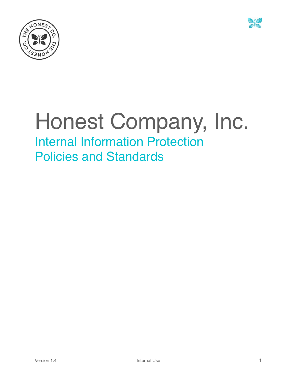



# Honest Company, Inc. Internal Information Protection Policies and Standards

Version 1.4 **Internal Use 1** Internal Use **1**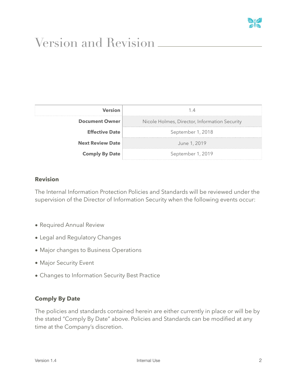

# <span id="page-1-0"></span>Version and Revision

| Version<br>------------ |                                               |  |
|-------------------------|-----------------------------------------------|--|
| <b>Document Owner</b>   | Nicole Holmes, Director, Information Security |  |
| <b>Effective Date</b>   | September 1, 2018                             |  |
| <b>Next Review Date</b> | June 1, 2019                                  |  |
| <b>Comply By Date</b>   | September 1, 2019                             |  |

#### **Revision**

The Internal Information Protection Policies and Standards will be reviewed under the supervision of the Director of Information Security when the following events occur:

- Required Annual Review
- Legal and Regulatory Changes
- Major changes to Business Operations
- Major Security Event
- Changes to Information Security Best Practice

#### **Comply By Date**

The policies and standards contained herein are either currently in place or will be by the stated "Comply By Date" above. Policies and Standards can be modified at any time at the Company's discretion.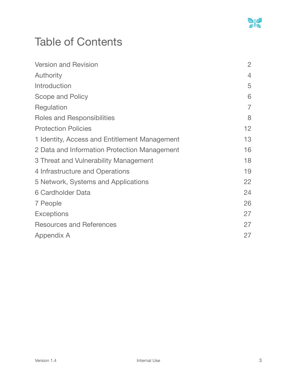

# Table of Contents

| <b>Version and Revision</b>                   | $\overline{2}$ |
|-----------------------------------------------|----------------|
| Authority                                     | $\overline{4}$ |
| Introduction                                  | 5              |
| Scope and Policy                              | 6              |
| Regulation                                    | $\overline{7}$ |
| Roles and Responsibilities                    | 8              |
| <b>Protection Policies</b>                    | 12             |
| 1 Identity, Access and Entitlement Management | 13             |
| 2 Data and Information Protection Management  | 16             |
| 3 Threat and Vulnerability Management         | 18             |
| 4 Infrastructure and Operations               | 19             |
| 5 Network, Systems and Applications           | 22             |
| 6 Cardholder Data                             | 24             |
| 7 People                                      | 26             |
| <b>Exceptions</b>                             | 27             |
| <b>Resources and References</b>               | 27             |
| Appendix A                                    | 27             |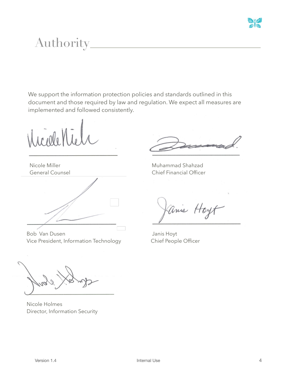

# <span id="page-3-0"></span>Authority

We support the information protection policies and standards outlined in this document and those required by law and regulation. We expect all measures are implemented and followed consistently.

 $100000$ 

Nicole Miller General Counsel



Bob Van Dusen Vice President, Information Technology

Muhammad Shahzad Chief Financial Officer

anis Hoyt

 Janis Hoyt Chief People Officer

Nicole Holmes Director, Information Security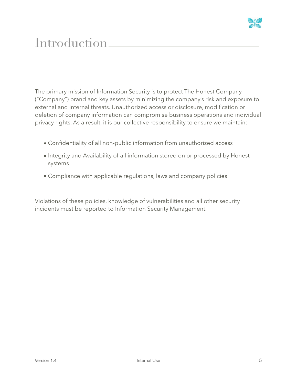

# <span id="page-4-0"></span>**Introduction**

The primary mission of Information Security is to protect The Honest Company ("Company") brand and key assets by minimizing the company's risk and exposure to external and internal threats. Unauthorized access or disclosure, modification or deletion of company information can compromise business operations and individual privacy rights. As a result, it is our collective responsibility to ensure we maintain:

- Confidentiality of all non-public information from unauthorized access
- Integrity and Availability of all information stored on or processed by Honest systems
- Compliance with applicable regulations, laws and company policies

Violations of these policies, knowledge of vulnerabilities and all other security incidents must be reported to Information Security Management.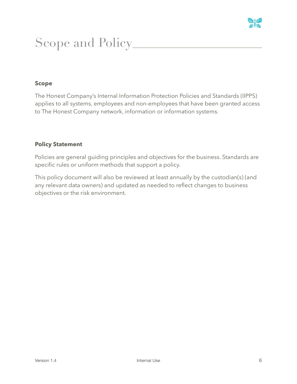

# <span id="page-5-0"></span>Scope and Policy

#### **Scope**

The Honest Company's Internal Information Protection Policies and Standards (IIPPS) applies to all systems, employees and non-employees that have been granted access to The Honest Company network, information or information systems.

#### **Policy Statement**

Policies are general guiding principles and objectives for the business. Standards are specific rules or uniform methods that support a policy.

This policy document will also be reviewed at least annually by the custodian(s) (and any relevant data owners) and updated as needed to reflect changes to business objectives or the risk environment.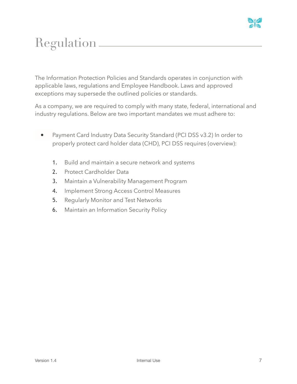

# <span id="page-6-0"></span>Regulation

The Information Protection Policies and Standards operates in conjunction with applicable laws, regulations and Employee Handbook. Laws and approved exceptions may supersede the outlined policies or standards.

As a company, we are required to comply with many state, federal, international and industry regulations. Below are two important mandates we must adhere to:

- Payment Card Industry Data Security Standard (PCI DSS v3.2) In order to properly protect card holder data (CHD), PCI DSS requires (overview):
	- 1. Build and maintain a secure network and systems
	- 2. Protect Cardholder Data
	- 3. Maintain a Vulnerability Management Program
	- 4. Implement Strong Access Control Measures
	- 5. Regularly Monitor and Test Networks
	- **6.** Maintain an Information Security Policy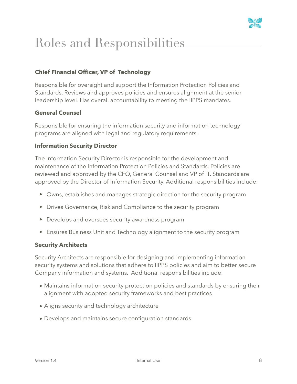

# <span id="page-7-0"></span>Roles and Responsibilities

# **Chief Financial Officer, VP of Technology**

Responsible for oversight and support the Information Protection Policies and Standards. Reviews and approves policies and ensures alignment at the senior leadership level. Has overall accountability to meeting the IIPPS mandates.

### **General Counsel**

Responsible for ensuring the information security and information technology programs are aligned with legal and regulatory requirements.

#### **Information Security Director**

The Information Security Director is responsible for the development and maintenance of the Information Protection Policies and Standards. Policies are reviewed and approved by the CFO, General Counsel and VP of IT. Standards are approved by the Director of Information Security. Additional responsibilities include:

- Owns, establishes and manages strategic direction for the security program
- Drives Governance, Risk and Compliance to the security program
- Develops and oversees security awareness program
- Ensures Business Unit and Technology alignment to the security program

#### **Security Architects**

Security Architects are responsible for designing and implementing information security systems and solutions that adhere to IIPPS policies and aim to better secure Company information and systems. Additional responsibilities include:

- Maintains information security protection policies and standards by ensuring their alignment with adopted security frameworks and best practices
- Aligns security and technology architecture
- Develops and maintains secure configuration standards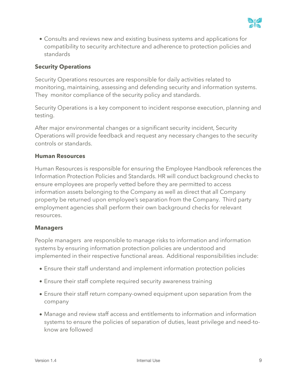

• Consults and reviews new and existing business systems and applications for compatibility to security architecture and adherence to protection policies and standards

#### **Security Operations**

Security Operations resources are responsible for daily activities related to monitoring, maintaining, assessing and defending security and information systems. They monitor compliance of the security policy and standards.

Security Operations is a key component to incident response execution, planning and testing.

After major environmental changes or a significant security incident, Security Operations will provide feedback and request any necessary changes to the security controls or standards.

#### **Human Resources**

Human Resources is responsible for ensuring the Employee Handbook references the Information Protection Policies and Standards. HR will conduct background checks to ensure employees are properly vetted before they are permitted to access information assets belonging to the Company as well as direct that all Company property be returned upon employee's separation from the Company. Third party employment agencies shall perform their own background checks for relevant resources.

#### **Managers**

People managers are responsible to manage risks to information and information systems by ensuring information protection policies are understood and implemented in their respective functional areas. Additional responsibilities include:

- Ensure their staff understand and implement information protection policies
- Ensure their staff complete required security awareness training
- Ensure their staff return company-owned equipment upon separation from the company
- Manage and review staff access and entitlements to information and information systems to ensure the policies of separation of duties, least privilege and need-toknow are followed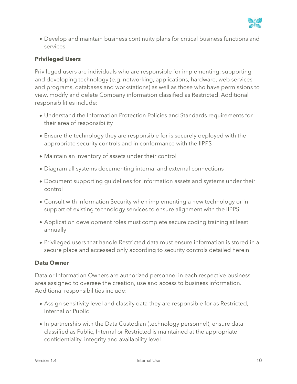

• Develop and maintain business continuity plans for critical business functions and services

#### **Privileged Users**

Privileged users are individuals who are responsible for implementing, supporting and developing technology (e.g. networking, applications, hardware, web services and programs, databases and workstations) as well as those who have permissions to view, modify and delete Company information classified as Restricted. Additional responsibilities include:

- Understand the Information Protection Policies and Standards requirements for their area of responsibility
- Ensure the technology they are responsible for is securely deployed with the appropriate security controls and in conformance with the IIPPS
- Maintain an inventory of assets under their control
- Diagram all systems documenting internal and external connections
- Document supporting guidelines for information assets and systems under their control
- Consult with Information Security when implementing a new technology or in support of existing technology services to ensure alignment with the IIPPS
- Application development roles must complete secure coding training at least annually
- Privileged users that handle Restricted data must ensure information is stored in a secure place and accessed only according to security controls detailed herein

#### **Data Owner**

Data or Information Owners are authorized personnel in each respective business area assigned to oversee the creation, use and access to business information. Additional responsibilities include:

- Assign sensitivity level and classify data they are responsible for as Restricted, Internal or Public
- In partnership with the Data Custodian (technology personnel), ensure data classified as Public, Internal or Restricted is maintained at the appropriate confidentiality, integrity and availability level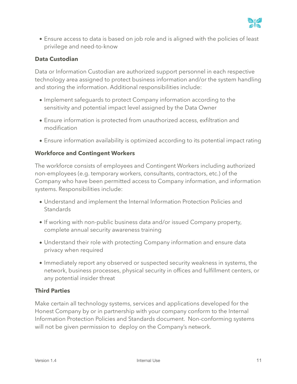

• Ensure access to data is based on job role and is aligned with the policies of least privilege and need-to-know

#### **Data Custodian**

Data or Information Custodian are authorized support personnel in each respective technology area assigned to protect business information and/or the system handling and storing the information. Additional responsibilities include:

- Implement safeguards to protect Company information according to the sensitivity and potential impact level assigned by the Data Owner
- Ensure information is protected from unauthorized access, exfiltration and modification
- Ensure information availability is optimized according to its potential impact rating

#### **Workforce and Contingent Workers**

The workforce consists of employees and Contingent Workers including authorized non-employees (e.g. temporary workers, consultants, contractors, etc.) of the Company who have been permitted access to Company information, and information systems. Responsibilities include:

- Understand and implement the Internal Information Protection Policies and **Standards**
- If working with non-public business data and/or issued Company property, complete annual security awareness training
- Understand their role with protecting Company information and ensure data privacy when required
- Immediately report any observed or suspected security weakness in systems, the network, business processes, physical security in offices and fulfillment centers, or any potential insider threat

#### **Third Parties**

Make certain all technology systems, services and applications developed for the Honest Company by or in partnership with your company conform to the Internal Information Protection Policies and Standards document. Non-conforming systems will not be given permission to deploy on the Company's network.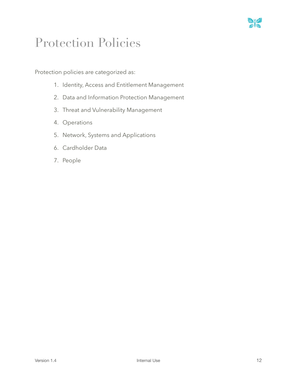

# <span id="page-11-0"></span>Protection Policies

Protection policies are categorized as:

- 1. Identity, Access and Entitlement Management
- 2. Data and Information Protection Management
- 3. Threat and Vulnerability Management
- 4. Operations
- 5. Network, Systems and Applications
- 6. Cardholder Data
- 7. People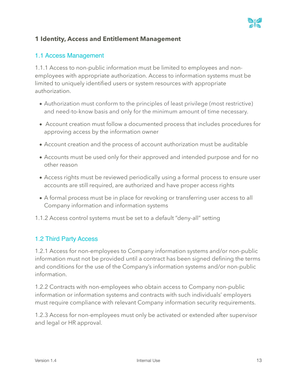

# <span id="page-12-0"></span>**1 Identity, Access and Entitlement Management**

#### 1.1 Access Management

1.1.1 Access to non-public information must be limited to employees and nonemployees with appropriate authorization. Access to information systems must be limited to uniquely identified users or system resources with appropriate authorization.

- Authorization must conform to the principles of least privilege (most restrictive) and need-to-know basis and only for the minimum amount of time necessary.
- Account creation must follow a documented process that includes procedures for approving access by the information owner
- Account creation and the process of account authorization must be auditable
- Accounts must be used only for their approved and intended purpose and for no other reason
- Access rights must be reviewed periodically using a formal process to ensure user accounts are still required, are authorized and have proper access rights
- A formal process must be in place for revoking or transferring user access to all Company information and information systems
- 1.1.2 Access control systems must be set to a default "deny-all" setting

#### 1.2 Third Party Access

1.2.1 Access for non-employees to Company information systems and/or non-public information must not be provided until a contract has been signed defining the terms and conditions for the use of the Company's information systems and/or non-public information.

1.2.2 Contracts with non-employees who obtain access to Company non-public information or information systems and contracts with such individuals' employers must require compliance with relevant Company information security requirements.

1.2.3 Access for non-employees must only be activated or extended after supervisor and legal or HR approval.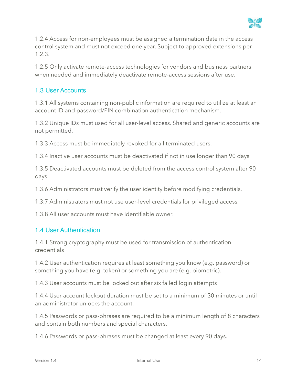

1.2.4 Access for non-employees must be assigned a termination date in the access control system and must not exceed one year. Subject to approved extensions per 1.2.3.

1.2.5 Only activate remote-access technologies for vendors and business partners when needed and immediately deactivate remote-access sessions after use.

# 1.3 User Accounts

1.3.1 All systems containing non-public information are required to utilize at least an account ID and password/PIN combination authentication mechanism.

1.3.2 Unique IDs must used for all user-level access. Shared and generic accounts are not permitted.

1.3.3 Access must be immediately revoked for all terminated users.

1.3.4 Inactive user accounts must be deactivated if not in use longer than 90 days

1.3.5 Deactivated accounts must be deleted from the access control system after 90 days.

1.3.6 Administrators must verify the user identity before modifying credentials.

1.3.7 Administrators must not use user-level credentials for privileged access.

1.3.8 All user accounts must have identifiable owner.

#### 1.4 User Authentication

1.4.1 Strong cryptography must be used for transmission of authentication credentials

1.4.2 User authentication requires at least something you know (e.g. password) or something you have (e.g. token) or something you are (e.g. biometric).

1.4.3 User accounts must be locked out after six failed login attempts

1.4.4 User account lockout duration must be set to a minimum of 30 minutes or until an administrator unlocks the account.

1.4.5 Passwords or pass-phrases are required to be a minimum length of 8 characters and contain both numbers and special characters.

1.4.6 Passwords or pass-phrases must be changed at least every 90 days.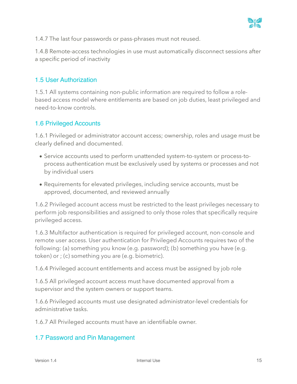

1.4.7 The last four passwords or pass-phrases must not reused.

1.4.8 Remote-access technologies in use must automatically disconnect sessions after a specific period of inactivity

#### 1.5 User Authorization

1.5.1 All systems containing non-public information are required to follow a rolebased access model where entitlements are based on job duties, least privileged and need-to-know controls.

#### 1.6 Privileged Accounts

1.6.1 Privileged or administrator account access; ownership, roles and usage must be clearly defined and documented.

- Service accounts used to perform unattended system-to-system or process-toprocess authentication must be exclusively used by systems or processes and not by individual users
- Requirements for elevated privileges, including service accounts, must be approved, documented, and reviewed annually

1.6.2 Privileged account access must be restricted to the least privileges necessary to perform job responsibilities and assigned to only those roles that specifically require privileged access.

1.6.3 Multifactor authentication is required for privileged account, non-console and remote user access. User authentication for Privileged Accounts requires two of the following: (a) something you know (e.g. password); (b) something you have (e.g. token) or ; (c) something you are (e.g. biometric).

1.6.4 Privileged account entitlements and access must be assigned by job role

1.6.5 All privileged account access must have documented approval from a supervisor and the system owners or support teams.

1.6.6 Privileged accounts must use designated administrator-level credentials for administrative tasks.

1.6.7 All Privileged accounts must have an identifiable owner.

#### 1.7 Password and Pin Management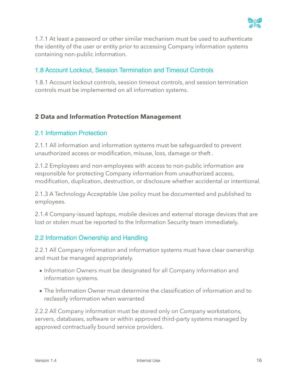

1.7.1 At least a password or other similar mechanism must be used to authenticate the identity of the user or entity prior to accessing Company information systems containing non-public information.

# 1.8 Account Lockout, Session Termination and Timeout Controls

1.8.1 Account lockout controls, session timeout controls, and session termination controls must be implemented on all information systems.

# <span id="page-15-0"></span>**2 Data and Information Protection Management**

#### 2.1 Information Protection

2.1.1 All information and information systems must be safeguarded to prevent unauthorized access or modification, misuse, loss, damage or theft .

2.1.2 Employees and non-employees with access to non-public information are responsible for protecting Company information from unauthorized access, modification, duplication, destruction, or disclosure whether accidental or intentional.

2.1.3 A Technology Acceptable Use policy must be documented and published to employees.

2.1.4 Company-issued laptops, mobile devices and external storage devices that are lost or stolen must be reported to the Information Security team immediately.

### 2.2 Information Ownership and Handling

2.2.1 All Company information and information systems must have clear ownership and must be managed appropriately.

- Information Owners must be designated for all Company information and information systems.
- The Information Owner must determine the classification of information and to reclassify information when warranted

2.2.2 All Company information must be stored only on Company workstations, servers, databases, software or within approved third-party systems managed by approved contractually bound service providers.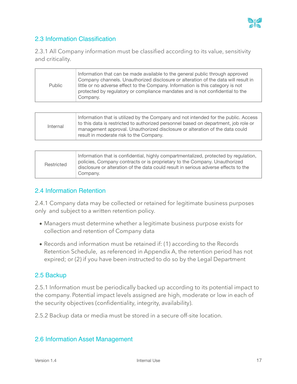# 2.3 Information Classification

2.3.1 All Company information must be classified according to its value, sensitivity and criticality.

| Public | Information that can be made available to the general public through approved<br>Company channels. Unauthorized disclosure or alteration of the data will result in<br>little or no adverse effect to the Company. Information is this category is not<br>protected by regulatory or compliance mandates and is not confidential to the |
|--------|-----------------------------------------------------------------------------------------------------------------------------------------------------------------------------------------------------------------------------------------------------------------------------------------------------------------------------------------|
|        | Company.                                                                                                                                                                                                                                                                                                                                |

| Internal | Information that is utilized by the Company and not intended for the public. Access<br>to this data is restricted to authorized personnel based on department, job role or<br>management approval. Unauthorized disclosure or alteration of the data could<br>result in moderate risk to the Company. |
|----------|-------------------------------------------------------------------------------------------------------------------------------------------------------------------------------------------------------------------------------------------------------------------------------------------------------|
|----------|-------------------------------------------------------------------------------------------------------------------------------------------------------------------------------------------------------------------------------------------------------------------------------------------------------|

| Restricted | Information that is confidential, highly compartmentalized, protected by regulation,<br>policies, Company contracts or is proprietary to the Company. Unauthorized<br>disclosure or alteration of the data could result in serious adverse effects to the<br>Company. |
|------------|-----------------------------------------------------------------------------------------------------------------------------------------------------------------------------------------------------------------------------------------------------------------------|
|------------|-----------------------------------------------------------------------------------------------------------------------------------------------------------------------------------------------------------------------------------------------------------------------|

#### 2.4 Information Retention

2.4.1 Company data may be collected or retained for legitimate business purposes only and subject to a written retention policy.

- Managers must determine whether a legitimate business purpose exists for collection and retention of Company data
- Records and information must be retained if: (1) according to the Records Retention Schedule, as referenced in Appendix A, the retention period has not expired; or (2) if you have been instructed to do so by the Legal Department

### 2.5 Backup

2.5.1 Information must be periodically backed up according to its potential impact to the company. Potential impact levels assigned are high, moderate or low in each of the security objectives (confidentiality, integrity, availability).

2.5.2 Backup data or media must be stored in a secure off-site location.

### 2.6 Information Asset Management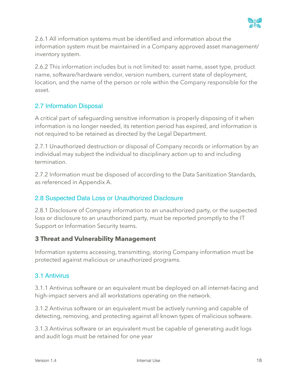

2.6.1 All information systems must be identified and information about the information system must be maintained in a Company approved asset management/ inventory system.

2.6.2 This information includes but is not limited to: asset name, asset type, product name, software/hardware vendor, version numbers, current state of deployment, location, and the name of the person or role within the Company responsible for the asset.

# 2.7 Information Disposal

A critical part of safeguarding sensitive information is properly disposing of it when information is no longer needed, its retention period has expired, and information is not required to be retained as directed by the Legal Department.

2.7.1 Unauthorized destruction or disposal of Company records or information by an individual may subject the individual to disciplinary action up to and including termination.

2.7.2 Information must be disposed of according to the Data Sanitization Standards, as referenced in Appendix A.

### 2.8 Suspected Data Loss or Unauthorized Disclosure

2.8.1 Disclosure of Company information to an unauthorized party, or the suspected loss or disclosure to an unauthorized party, must be reported promptly to the IT Support or Information Security teams.

### <span id="page-17-0"></span>**3 Threat and Vulnerability Management**

Information systems accessing, transmitting, storing Company information must be protected against malicious or unauthorized programs.

### 3.1 Antivirus

3.1.1 Antivirus software or an equivalent must be deployed on all internet-facing and high-impact servers and all workstations operating on the network.

3.1.2 Antivirus software or an equivalent must be actively running and capable of detecting, removing, and protecting against all known types of malicious software.

3.1.3 Antivirus software or an equivalent must be capable of generating audit logs and audit logs must be retained for one year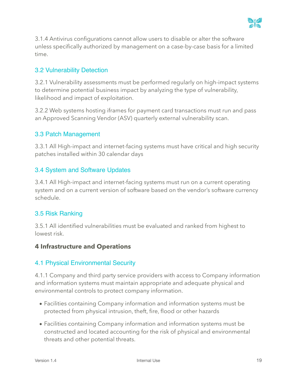

3.1.4 Antivirus configurations cannot allow users to disable or alter the software unless specifically authorized by management on a case-by-case basis for a limited time.

# 3.2 Vulnerability Detection

3.2.1 Vulnerability assessments must be performed regularly on high-impact systems to determine potential business impact by analyzing the type of vulnerability, likelihood and impact of exploitation.

3.2.2 Web systems hosting iframes for payment card transactions must run and pass an Approved Scanning Vendor (ASV) quarterly external vulnerability scan.

### 3.3 Patch Management

3.3.1 All High-impact and internet-facing systems must have critical and high security patches installed within 30 calendar days

### 3.4 System and Software Updates

3.4.1 All High-impact and internet-facing systems must run on a current operating system and on a current version of software based on the vendor's software currency schedule.

### 3.5 Risk Ranking

3.5.1 All identified vulnerabilities must be evaluated and ranked from highest to lowest risk.

#### <span id="page-18-0"></span>**4 Infrastructure and Operations**

#### 4.1 Physical Environmental Security

4.1.1 Company and third party service providers with access to Company information and information systems must maintain appropriate and adequate physical and environmental controls to protect company information.

- Facilities containing Company information and information systems must be protected from physical intrusion, theft, fire, flood or other hazards
- Facilities containing Company information and information systems must be constructed and located accounting for the risk of physical and environmental threats and other potential threats.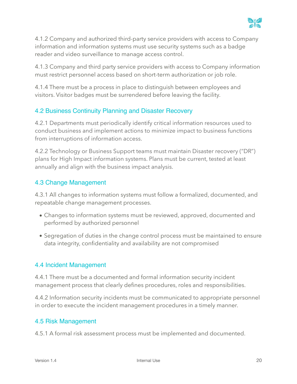

4.1.2 Company and authorized third-party service providers with access to Company information and information systems must use security systems such as a badge reader and video surveillance to manage access control.

4.1.3 Company and third party service providers with access to Company information must restrict personnel access based on short-term authorization or job role.

4.1.4 There must be a process in place to distinguish between employees and visitors. Visitor badges must be surrendered before leaving the facility.

# 4.2 Business Continuity Planning and Disaster Recovery

4.2.1 Departments must periodically identify critical information resources used to conduct business and implement actions to minimize impact to business functions from interruptions of information access.

4.2.2 Technology or Business Support teams must maintain Disaster recovery ("DR") plans for High Impact information systems. Plans must be current, tested at least annually and align with the business impact analysis.

#### 4.3 Change Management

4.3.1 All changes to information systems must follow a formalized, documented, and repeatable change management processes.

- Changes to information systems must be reviewed, approved, documented and performed by authorized personnel
- Segregation of duties in the change control process must be maintained to ensure data integrity, confidentiality and availability are not compromised

#### 4.4 Incident Management

4.4.1 There must be a documented and formal information security incident management process that clearly defines procedures, roles and responsibilities.

4.4.2 Information security incidents must be communicated to appropriate personnel in order to execute the incident management procedures in a timely manner.

### 4.5 Risk Management

4.5.1 A formal risk assessment process must be implemented and documented.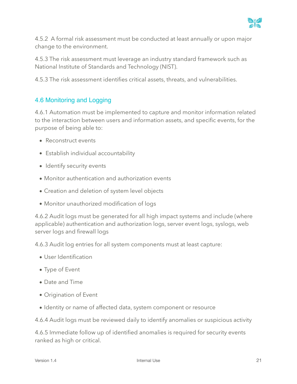

4.5.2 A formal risk assessment must be conducted at least annually or upon major change to the environment.

4.5.3 The risk assessment must leverage an industry standard framework such as National Institute of Standards and Technology (NIST).

4.5.3 The risk assessment identifies critical assets, threats, and vulnerabilities.

# 4.6 Monitoring and Logging

4.6.1 Automation must be implemented to capture and monitor information related to the interaction between users and information assets, and specific events, for the purpose of being able to:

- Reconstruct events
- Establish individual accountability
- Identify security events
- Monitor authentication and authorization events
- Creation and deletion of system level objects
- Monitor unauthorized modification of logs

4.6.2 Audit logs must be generated for all high impact systems and include (where applicable) authentication and authorization logs, server event logs, syslogs, web server logs and firewall logs

4.6.3 Audit log entries for all system components must at least capture:

- User Identification
- Type of Event
- Date and Time
- Origination of Event
- Identity or name of affected data, system component or resource

4.6.4 Audit logs must be reviewed daily to identify anomalies or suspicious activity

4.6.5 Immediate follow up of identified anomalies is required for security events ranked as high or critical.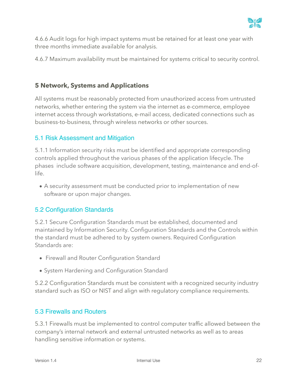

4.6.6 Audit logs for high impact systems must be retained for at least one year with three months immediate available for analysis.

4.6.7 Maximum availability must be maintained for systems critical to security control.

### <span id="page-21-0"></span>**5 Network, Systems and Applications**

All systems must be reasonably protected from unauthorized access from untrusted networks, whether entering the system via the internet as e-commerce, employee internet access through workstations, e-mail access, dedicated connections such as business-to-business, through wireless networks or other sources.

### 5.1 Risk Assessment and Mitigation

5.1.1 Information security risks must be identified and appropriate corresponding controls applied throughout the various phases of the application lifecycle. The phases include software acquisition, development, testing, maintenance and end-oflife.

• A security assessment must be conducted prior to implementation of new software or upon major changes.

### 5.2 Configuration Standards

5.2.1 Secure Configuration Standards must be established, documented and maintained by Information Security. Configuration Standards and the Controls within the standard must be adhered to by system owners. Required Configuration Standards are:

- Firewall and Router Configuration Standard
- System Hardening and Configuration Standard

5.2.2 Configuration Standards must be consistent with a recognized security industry standard such as ISO or NIST and align with regulatory compliance requirements.

### 5.3 Firewalls and Routers

5.3.1 Firewalls must be implemented to control computer traffic allowed between the company's internal network and external untrusted networks as well as to areas handling sensitive information or systems.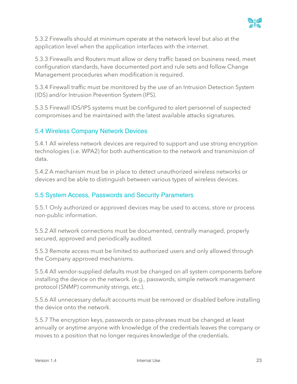

5.3.2 Firewalls should at minimum operate at the network level but also at the application level when the application interfaces with the internet.

5.3.3 Firewalls and Routers must allow or deny traffic based on business need, meet configuration standards, have documented port and rule sets and follow Change Management procedures when modification is required.

5.3.4 Firewall traffic must be monitored by the use of an Intrusion Detection System (IDS) and/or Intrusion Prevention System (IPS).

5.3.5 Firewall IDS/IPS systems must be configured to alert personnel of suspected compromises and be maintained with the latest available attacks signatures.

# 5.4 Wireless Company Network Devices

5.4.1 All wireless network devices are required to support and use strong encryption technologies (i.e. WPA2) for both authentication to the network and transmission of data.

5.4.2 A mechanism must be in place to detect unauthorized wireless networks or devices and be able to distinguish between various types of wireless devices.

### 5.5 System Access, Passwords and Security Parameters

5.5.1 Only authorized or approved devices may be used to access, store or process non-public information.

5.5.2 All network connections must be documented, centrally managed, properly secured, approved and periodically audited.

5.5.3 Remote access must be limited to authorized users and only allowed through the Company approved mechanisms.

5.5.4 All vendor-supplied defaults must be changed on all system components before installing the device on the network. (e.g., passwords, simple network management protocol (SNMP) community strings, etc.).

5.5.6 All unnecessary default accounts must be removed or disabled before installing the device onto the network.

5.5.7 The encryption keys, passwords or pass-phrases must be changed at least annually or anytime anyone with knowledge of the credentials leaves the company or moves to a position that no longer requires knowledge of the credentials.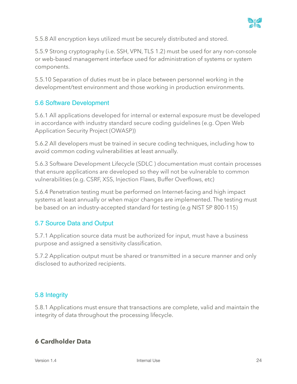

5.5.8 All encryption keys utilized must be securely distributed and stored.

5.5.9 Strong cryptography (i.e. SSH, VPN, TLS 1.2) must be used for any non-console or web-based management interface used for administration of systems or system components.

5.5.10 Separation of duties must be in place between personnel working in the development/test environment and those working in production environments.

### 5.6 Software Development

5.6.1 All applications developed for internal or external exposure must be developed in accordance with industry standard secure coding guidelines (e.g. Open Web Application Security Project (OWASP))

5.6.2 All developers must be trained in secure coding techniques, including how to avoid common coding vulnerabilities at least annually.

5.6.3 Software Development Lifecycle (SDLC ) documentation must contain processes that ensure applications are developed so they will not be vulnerable to common vulnerabilities (e.g. CSRF, XSS, Injection Flaws, Buffer Overflows, etc)

5.6.4 Penetration testing must be performed on Internet-facing and high impact systems at least annually or when major changes are implemented. The testing must be based on an industry-accepted standard for testing (e.g NIST SP 800-115)

### 5.7 Source Data and Output

5.7.1 Application source data must be authorized for input, must have a business purpose and assigned a sensitivity classification.

5.7.2 Application output must be shared or transmitted in a secure manner and only disclosed to authorized recipients.

### 5.8 Integrity

5.8.1 Applications must ensure that transactions are complete, valid and maintain the integrity of data throughout the processing lifecycle.

# <span id="page-23-0"></span>**6 Cardholder Data**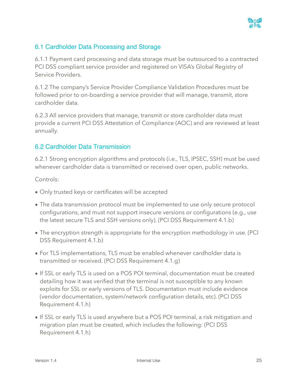

### 6.1 Cardholder Data Processing and Storage

6.1.1 Payment card processing and data storage must be outsourced to a contracted PCI DSS compliant service provider and registered on VISA's Global Registry of Service Providers.

6.1.2 The company's Service Provider Compliance Validation Procedures must be followed prior to on-boarding a service provider that will manage, transmit, store cardholder data.

6.2.3 All service providers that manage, transmit or store cardholder data must provide a current PCI DSS Attestation of Compliance (AOC) and are reviewed at least annually.

# 6.2 Cardholder Data Transmission

6.2.1 Strong encryption algorithms and protocols (i.e., TLS, IPSEC, SSH) must be used whenever cardholder data is transmitted or received over open, public networks.

Controls:

- Only trusted keys or certificates will be accepted
- The data transmission protocol must be implemented to use only secure protocol configurations, and must not support insecure versions or configurations (e.g., use the latest secure TLS and SSH versions only). (PCI DSS Requirement 4.1.b)
- The encryption strength is appropriate for the encryption methodology in use. (PCI DSS Requirement 4.1.b)
- For TLS implementations, TLS must be enabled whenever cardholder data is transmitted or received. (PCI DSS Requirement 4.1.g)
- If SSL or early TLS is used on a POS POI terminal, documentation must be created detailing how it was verified that the terminal is not susceptible to any known exploits for SSL or early versions of TLS. Documentation must include evidence (vendor documentation, system/network configuration details, etc). (PCI DSS Requirement 4.1.h)
- If SSL or early TLS is used anywhere but a POS POI terminal, a risk mitigation and migration plan must be created, which includes the following: (PCI DSS Requirement 4.1.h)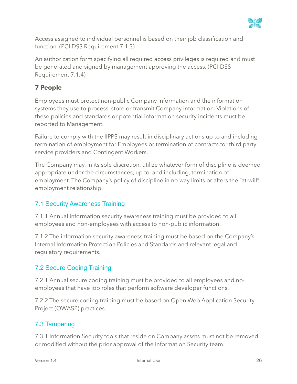

Access assigned to individual personnel is based on their job classification and function. (PCI DSS Requirement 7.1.3)

An authorization form specifying all required access privileges is required and must be generated and signed by management approving the access. (PCI DSS Requirement 7.1.4)

# <span id="page-25-0"></span>**7 People**

Employees must protect non-public Company information and the information systems they use to process, store or transmit Company information. Violations of these policies and standards or potential information security incidents must be reported to Management.

Failure to comply with the IIPPS may result in disciplinary actions up to and including termination of employment for Employees or termination of contracts for third party service providers and Contingent Workers.

The Company may, in its sole discretion, utilize whatever form of discipline is deemed appropriate under the circumstances, up to, and including, termination of employment. The Company's policy of discipline in no way limits or alters the "at-will" employment relationship.

# 7.1 Security Awareness Training

7.1.1 Annual information security awareness training must be provided to all employees and non-employees with access to non-public information.

7.1.2 The information security awareness training must be based on the Company's Internal Information Protection Policies and Standards and relevant legal and regulatory requirements.

# 7.2 Secure Coding Training

7.2.1 Annual secure coding training must be provided to all employees and noemployees that have job roles that perform software developer functions.

7.2.2 The secure coding training must be based on Open Web Application Security Project (OWASP) practices.

# 7.3 Tampering

7.3.1 Information Security tools that reside on Company assets must not be removed or modified without the prior approval of the Information Security team.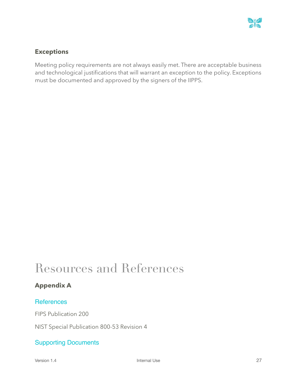

### <span id="page-26-0"></span>**Exceptions**

Meeting policy requirements are not always easily met. There are acceptable business and technological justifications that will warrant an exception to the policy. Exceptions must be documented and approved by the signers of the IIPPS.

# <span id="page-26-1"></span>Resources and References

### <span id="page-26-2"></span>**Appendix A**

#### **References**

FIPS Publication 200

NIST Special Publication 800-53 Revision 4

### Supporting Documents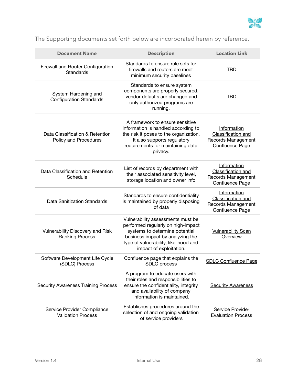

# The Supporting documents set forth below are incorporated herein by reference.

| <b>Document Name</b>                                       | <b>Description</b>                                                                                                                                                                                                | <b>Location Link</b>                                                                            |
|------------------------------------------------------------|-------------------------------------------------------------------------------------------------------------------------------------------------------------------------------------------------------------------|-------------------------------------------------------------------------------------------------|
| Firewall and Router Configuration<br>Standards             | Standards to ensure rule sets for<br>firewalls and routers are meet<br>minimum security baselines                                                                                                                 | <b>TBD</b>                                                                                      |
| System Hardening and<br><b>Configuration Standards</b>     | Standards to ensure system<br>components are properly secured,<br>vendor defaults are changed and<br>only authorized programs are<br>running.                                                                     | <b>TBD</b>                                                                                      |
| Data Classification & Retention<br>Policy and Procedures   | A framework to ensure sensitive<br>information is handled according to<br>the risk it poses to the organization.<br>It also supports regulatory<br>requirements for maintaining data<br>privacy.                  | Information<br>Classification and<br><b>Records Management</b><br><b>Confluence Page</b>        |
| Data Classification and Retention<br>Schedule              | List of records by department with<br>their associated sensitivity level,<br>storage location and owner info                                                                                                      | Information<br><b>Classification and</b><br><b>Records Management</b><br><b>Confluence Page</b> |
| Data Sanitization Standards                                | Standards to ensure confidentiality<br>is maintained by properly disposing<br>of data                                                                                                                             | Information<br>Classification and<br><b>Records Management</b><br><b>Confluence Page</b>        |
| Vulnerability Discovery and Risk<br><b>Ranking Process</b> | Vulnerability assessments must be<br>performed regularly on high-impact<br>systems to determine potential<br>business impact by analyzing the<br>type of vulnerability, likelihood and<br>impact of exploitation. | <b>Vulnerability Scan</b><br>Overview                                                           |
| Software Development Life Cycle<br>(SDLC) Process          | Confluence page that explains the<br>SDLC process                                                                                                                                                                 | <b>SDLC Confluence Page</b>                                                                     |
| <b>Security Awareness Training Process</b>                 | A program to educate users with<br>their roles and responsibilities to<br>ensure the confidentiality, integrity<br>and availability of company<br>information is maintained.                                      | <b>Security Awareness</b>                                                                       |
| Service Provider Compliance<br><b>Validation Process</b>   | Establishes procedures around the<br>selection of and ongoing validation<br>of service providers                                                                                                                  | Service Provider<br><b>Evaluation Process</b>                                                   |